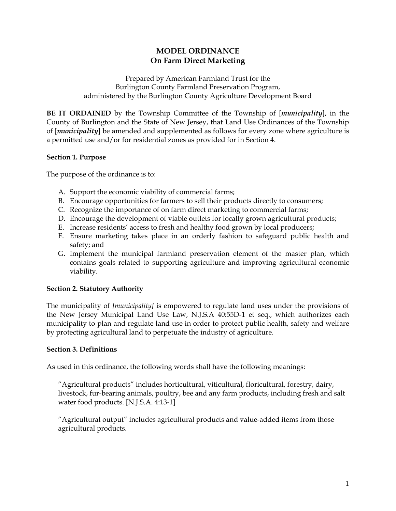# **MODEL ORDINANCE On Farm Direct Marketing**

Prepared by American Farmland Trust for the Burlington County Farmland Preservation Program, administered by the Burlington County Agriculture Development Board

**BE IT ORDAINED** by the Township Committee of the Township of [*municipality*], in the County of Burlington and the State of New Jersey, that Land Use Ordinances of the Township of [*municipality*] be amended and supplemented as follows for every zone where agriculture is a permitted use and/or for residential zones as provided for in Section 4.

## **Section 1. Purpose**

The purpose of the ordinance is to:

- A. Support the economic viability of commercial farms;
- B. Encourage opportunities for farmers to sell their products directly to consumers;
- C. Recognize the importance of on farm direct marketing to commercial farms;
- D. Encourage the development of viable outlets for locally grown agricultural products;
- E. Increase residents' access to fresh and healthy food grown by local producers;
- F. Ensure marketing takes place in an orderly fashion to safeguard public health and safety; and
- G. Implement the municipal farmland preservation element of the master plan, which contains goals related to supporting agriculture and improving agricultural economic viability.

## **Section 2. Statutory Authority**

The municipality of *[municipality]* is empowered to regulate land uses under the provisions of the New Jersey Municipal Land Use Law, N.J.S.A 40:55D-1 et seq., which authorizes each municipality to plan and regulate land use in order to protect public health, safety and welfare by protecting agricultural land to perpetuate the industry of agriculture.

## **Section 3. Definitions**

As used in this ordinance, the following words shall have the following meanings:

"Agricultural products" includes horticultural, viticultural, floricultural, forestry, dairy, livestock, fur-bearing animals, poultry, bee and any farm products, including fresh and salt water food products. [N.J.S.A. 4:13-1]

"Agricultural output" includes agricultural products and value-added items from those agricultural products.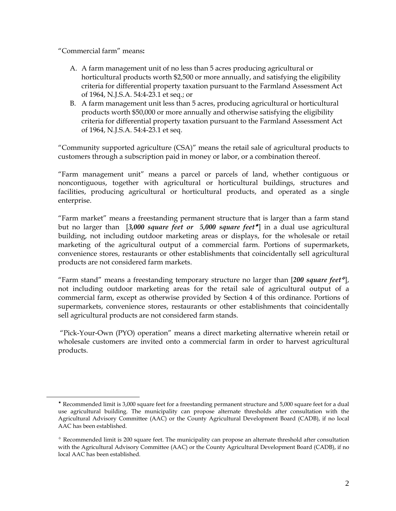"Commercial farm" means**:** 

 $\overline{a}$ 

- A. A farm management unit of no less than 5 acres producing agricultural or horticultural products worth \$2,500 or more annually, and satisfying the eligibility criteria for differential property taxation pursuant to the Farmland Assessment Act of 1964, N.J.S.A. 54:4-23.1 et seq.; or
- B. A farm management unit less than 5 acres, producing agricultural or horticultural products worth \$50,000 or more annually and otherwise satisfying the eligibility criteria for differential property taxation pursuant to the Farmland Assessment Act of 1964, N.J.S.A. 54:4-23.1 et seq.

"Community supported agriculture (CSA)" means the retail sale of agricultural products to customers through a subscription paid in money or labor, or a combination thereof.

"Farm management unit" means a parcel or parcels of land, whether contiguous or noncontiguous, together with agricultural or horticultural buildings, structures and facilities, producing agricultural or horticultural products, and operated as a single enterprise.

"Farm market" means a freestanding permanent structure that is larger than a farm stand but no larger than [3,000 square feet or 5,000 square feet<sup>\*</sup>] in a dual use agricultural building, not including outdoor marketing areas or displays, for the wholesale or retail marketing of the agricultural output of a commercial farm. Portions of supermarkets, convenience stores, restaurants or other establishments that coincidentally sell agricultural products are not considered farm markets.

"Farm stand" means a freestanding temporary structure no larger than [*200 square feet* ], not including outdoor marketing areas for the retail sale of agricultural output of a commercial farm, except as otherwise provided by Section 4 of this ordinance. Portions of supermarkets, convenience stores, restaurants or other establishments that coincidentally sell agricultural products are not considered farm stands.

 "Pick-Your-Own (PYO) operation" means a direct marketing alternative wherein retail or wholesale customers are invited onto a commercial farm in order to harvest agricultural products.

Recommended limit is 3,000 square feet for a freestanding permanent structure and 5,000 square feet for a dual use agricultural building. The municipality can propose alternate thresholds after consultation with the Agricultural Advisory Committee (AAC) or the County Agricultural Development Board (CADB), if no local AAC has been established.

 $*$  Recommended limit is 200 square feet. The municipality can propose an alternate threshold after consultation with the Agricultural Advisory Committee (AAC) or the County Agricultural Development Board (CADB), if no local AAC has been established.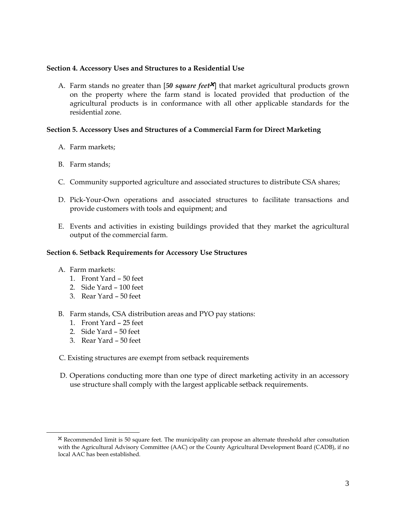#### **Section 4. Accessory Uses and Structures to a Residential Use**

A. Farm stands no greater than [50 square feet<sup>x</sup>] that market agricultural products grown on the property where the farm stand is located provided that production of the agricultural products is in conformance with all other applicable standards for the residential zone.

## **Section 5. Accessory Uses and Structures of a Commercial Farm for Direct Marketing**

- A. Farm markets;
- B. Farm stands;
- C. Community supported agriculture and associated structures to distribute CSA shares;
- D. Pick-Your-Own operations and associated structures to facilitate transactions and provide customers with tools and equipment; and
- E. Events and activities in existing buildings provided that they market the agricultural output of the commercial farm.

#### **Section 6. Setback Requirements for Accessory Use Structures**

A. Farm markets:

 $\overline{a}$ 

- 1. Front Yard 50 feet
- 2. Side Yard 100 feet
- 3. Rear Yard 50 feet
- B. Farm stands, CSA distribution areas and PYO pay stations:
	- 1. Front Yard 25 feet
	- 2. Side Yard 50 feet
	- 3. Rear Yard 50 feet
- C. Existing structures are exempt from setback requirements
- D. Operations conducting more than one type of direct marketing activity in an accessory use structure shall comply with the largest applicable setback requirements.

<sup>±</sup> Recommended limit is 50 square feet. The municipality can propose an alternate threshold after consultation with the Agricultural Advisory Committee (AAC) or the County Agricultural Development Board (CADB), if no local AAC has been established.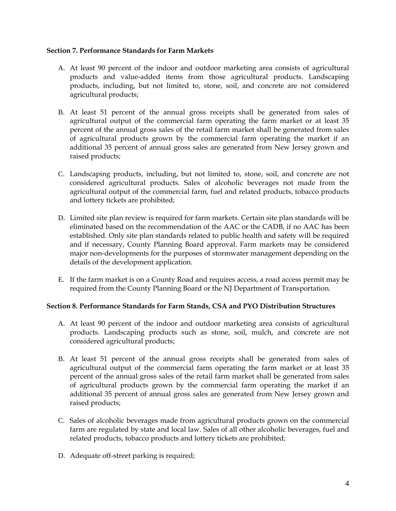#### **Section 7. Performance Standards for Farm Markets**

- A. At least 90 percent of the indoor and outdoor marketing area consists of agricultural products and value-added items from those agricultural products. Landscaping products, including, but not limited to, stone, soil, and concrete are not considered agricultural products;
- B. At least 51 percent of the annual gross receipts shall be generated from sales of agricultural output of the commercial farm operating the farm market or at least 35 percent of the annual gross sales of the retail farm market shall be generated from sales of agricultural products grown by the commercial farm operating the market if an additional 35 percent of annual gross sales are generated from New Jersey grown and raised products;
- C. Landscaping products, including, but not limited to, stone, soil, and concrete are not considered agricultural products. Sales of alcoholic beverages not made from the agricultural output of the commercial farm, fuel and related products, tobacco products and lottery tickets are prohibited;
- D. Limited site plan review is required for farm markets. Certain site plan standards will be eliminated based on the recommendation of the AAC or the CADB, if no AAC has been established. Only site plan standards related to public health and safety will be required and if necessary, County Planning Board approval. Farm markets may be considered major non-developments for the purposes of stormwater management depending on the details of the development application.
- E. If the farm market is on a County Road and requires access, a road access permit may be required from the County Planning Board or the NJ Department of Transportation.

## **Section 8. Performance Standards for Farm Stands, CSA and PYO Distribution Structures**

- A. At least 90 percent of the indoor and outdoor marketing area consists of agricultural products. Landscaping products such as stone, soil, mulch, and concrete are not considered agricultural products;
- B. At least 51 percent of the annual gross receipts shall be generated from sales of agricultural output of the commercial farm operating the farm market or at least 35 percent of the annual gross sales of the retail farm market shall be generated from sales of agricultural products grown by the commercial farm operating the market if an additional 35 percent of annual gross sales are generated from New Jersey grown and raised products;
- C. Sales of alcoholic beverages made from agricultural products grown on the commercial farm are regulated by state and local law. Sales of all other alcoholic beverages, fuel and related products, tobacco products and lottery tickets are prohibited;
- D. Adequate off-street parking is required;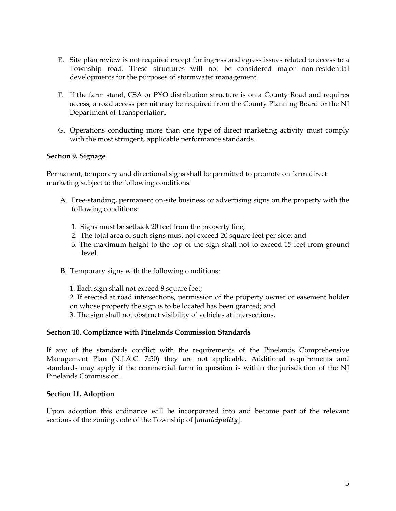- E. Site plan review is not required except for ingress and egress issues related to access to a Township road. These structures will not be considered major non-residential developments for the purposes of stormwater management.
- F. If the farm stand, CSA or PYO distribution structure is on a County Road and requires access, a road access permit may be required from the County Planning Board or the NJ Department of Transportation.
- G. Operations conducting more than one type of direct marketing activity must comply with the most stringent, applicable performance standards.

## **Section 9. Signage**

Permanent, temporary and directional signs shall be permitted to promote on farm direct marketing subject to the following conditions:

- A. Free-standing, permanent on-site business or advertising signs on the property with the following conditions:
	- 1. Signs must be setback 20 feet from the property line;
	- 2. The total area of such signs must not exceed 20 square feet per side; and
	- 3. The maximum height to the top of the sign shall not to exceed 15 feet from ground level.
- B. Temporary signs with the following conditions:
	- 1. Each sign shall not exceed 8 square feet;

2. If erected at road intersections, permission of the property owner or easement holder on whose property the sign is to be located has been granted; and 3. The sign shall not obstruct visibility of vehicles at intersections.

#### **Section 10. Compliance with Pinelands Commission Standards**

 If any of the standards conflict with the requirements of the Pinelands Comprehensive Management Plan (N.J.A.C. 7:50) they are not applicable. Additional requirements and standards may apply if the commercial farm in question is within the jurisdiction of the NJ Pinelands Commission.

## **Section 11. Adoption**

Upon adoption this ordinance will be incorporated into and become part of the relevant sections of the zoning code of the Township of [*municipality*].